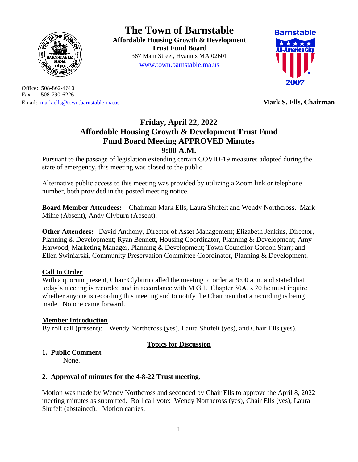

Office: 508-862-4610 Fax: 508-790-6226 Email: [mark.ells@town.barnstable.ma.us](mailto:mark.ells@town.barnstable.ma.us) **Mark S. Ells, Chairman**

**The Town of Barnstable Affordable Housing Growth & Development Trust Fund Board**  367 Main Street, Hyannis MA 02601 [www.town.barnstable.ma.us](http://www.town.barnstable.ma.us/)



# **Friday, April 22, 2022 Affordable Housing Growth & Development Trust Fund Fund Board Meeting APPROVED Minutes 9:00 A.M.**

Pursuant to the passage of legislation extending certain COVID-19 measures adopted during the state of emergency, this meeting was closed to the public.

Alternative public access to this meeting was provided by utilizing a Zoom link or telephone number, both provided in the posted meeting notice.

**Board Member Attendees:** Chairman Mark Ells, Laura Shufelt and Wendy Northcross. Mark Milne (Absent), Andy Clyburn (Absent).

**Other Attendees:** David Anthony, Director of Asset Management; Elizabeth Jenkins, Director, Planning & Development; Ryan Bennett, Housing Coordinator, Planning & Development; Amy Harwood, Marketing Manager, Planning & Development; Town Councilor Gordon Starr; and Ellen Swiniarski, Community Preservation Committee Coordinator, Planning & Development.

#### **Call to Order**

With a quorum present. Chair Clyburn called the meeting to order at 9:00 a.m. and stated that today's meeting is recorded and in accordance with M.G.L. Chapter 30A, s 20 he must inquire whether anyone is recording this meeting and to notify the Chairman that a recording is being made. No one came forward.

#### **Member Introduction**

By roll call (present): Wendy Northcross (yes), Laura Shufelt (yes), and Chair Ells (yes).

#### **Topics for Discussion**

## **1. Public Comment**

None.

#### **2. Approval of minutes for the 4-8-22 Trust meeting.**

Motion was made by Wendy Northcross and seconded by Chair Ells to approve the April 8, 2022 meeting minutes as submitted. Roll call vote: Wendy Northcross (yes), Chair Ells (yes), Laura Shufelt (abstained). Motion carries.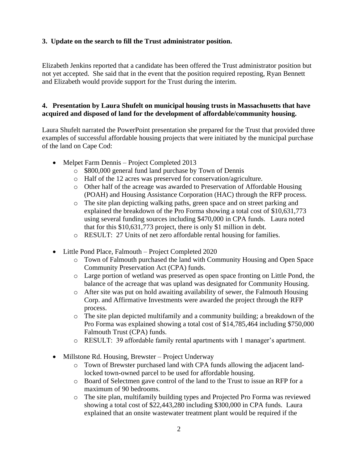### **3. Update on the search to fill the Trust administrator position.**

Elizabeth Jenkins reported that a candidate has been offered the Trust administrator position but not yet accepted. She said that in the event that the position required reposting, Ryan Bennett and Elizabeth would provide support for the Trust during the interim.

#### **4. Presentation by Laura Shufelt on municipal housing trusts in Massachusetts that have acquired and disposed of land for the development of affordable/community housing.**

Laura Shufelt narrated the PowerPoint presentation she prepared for the Trust that provided three examples of successful affordable housing projects that were initiated by the municipal purchase of the land on Cape Cod:

- Melpet Farm Dennis Project Completed 2013
	- o \$800,000 general fund land purchase by Town of Dennis
	- o Half of the 12 acres was preserved for conservation/agriculture.
	- o Other half of the acreage was awarded to Preservation of Affordable Housing (POAH) and Housing Assistance Corporation (HAC) through the RFP process.
	- o The site plan depicting walking paths, green space and on street parking and explained the breakdown of the Pro Forma showing a total cost of \$10,631,773 using several funding sources including \$470,000 in CPA funds. Laura noted that for this \$10,631,773 project, there is only \$1 million in debt.
	- o RESULT: 27 Units of net zero affordable rental housing for families.
- Little Pond Place, Falmouth Project Completed 2020
	- o Town of Falmouth purchased the land with Community Housing and Open Space Community Preservation Act (CPA) funds.
	- o Large portion of wetland was preserved as open space fronting on Little Pond, the balance of the acreage that was upland was designated for Community Housing.
	- o After site was put on hold awaiting availability of sewer, the Falmouth Housing Corp. and Affirmative Investments were awarded the project through the RFP process.
	- o The site plan depicted multifamily and a community building; a breakdown of the Pro Forma was explained showing a total cost of \$14,785,464 including \$750,000 Falmouth Trust (CPA) funds.
	- o RESULT: 39 affordable family rental apartments with 1 manager's apartment.
- Millstone Rd. Housing, Brewster Project Underway
	- o Town of Brewster purchased land with CPA funds allowing the adjacent landlocked town-owned parcel to be used for affordable housing.
	- o Board of Selectmen gave control of the land to the Trust to issue an RFP for a maximum of 90 bedrooms.
	- o The site plan, multifamily building types and Projected Pro Forma was reviewed showing a total cost of \$22,443,280 including \$300,000 in CPA funds. Laura explained that an onsite wastewater treatment plant would be required if the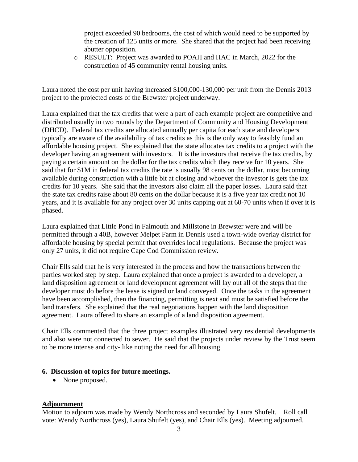project exceeded 90 bedrooms, the cost of which would need to be supported by the creation of 125 units or more. She shared that the project had been receiving abutter opposition.

o RESULT: Project was awarded to POAH and HAC in March, 2022 for the construction of 45 community rental housing units.

Laura noted the cost per unit having increased \$100,000-130,000 per unit from the Dennis 2013 project to the projected costs of the Brewster project underway.

Laura explained that the tax credits that were a part of each example project are competitive and distributed usually in two rounds by the Department of Community and Housing Development (DHCD). Federal tax credits are allocated annually per capita for each state and developers typically are aware of the availability of tax credits as this is the only way to feasibly fund an affordable housing project. She explained that the state allocates tax credits to a project with the developer having an agreement with investors. It is the investors that receive the tax credits, by paying a certain amount on the dollar for the tax credits which they receive for 10 years. She said that for \$1M in federal tax credits the rate is usually 98 cents on the dollar, most becoming available during construction with a little bit at closing and whoever the investor is gets the tax credits for 10 years. She said that the investors also claim all the paper losses. Laura said that the state tax credits raise about 80 cents on the dollar because it is a five year tax credit not 10 years, and it is available for any project over 30 units capping out at 60-70 units when if over it is phased.

Laura explained that Little Pond in Falmouth and Millstone in Brewster were and will be permitted through a 40B, however Melpet Farm in Dennis used a town-wide overlay district for affordable housing by special permit that overrides local regulations. Because the project was only 27 units, it did not require Cape Cod Commission review.

Chair Ells said that he is very interested in the process and how the transactions between the parties worked step by step. Laura explained that once a project is awarded to a developer, a land disposition agreement or land development agreement will lay out all of the steps that the developer must do before the lease is signed or land conveyed. Once the tasks in the agreement have been accomplished, then the financing, permitting is next and must be satisfied before the land transfers. She explained that the real negotiations happen with the land disposition agreement. Laura offered to share an example of a land disposition agreement.

Chair Ells commented that the three project examples illustrated very residential developments and also were not connected to sewer. He said that the projects under review by the Trust seem to be more intense and city- like noting the need for all housing.

#### **6. Discussion of topics for future meetings.**

• None proposed.

#### **Adjournment**

Motion to adjourn was made by Wendy Northcross and seconded by Laura Shufelt. Roll call vote: Wendy Northcross (yes), Laura Shufelt (yes), and Chair Ells (yes). Meeting adjourned.